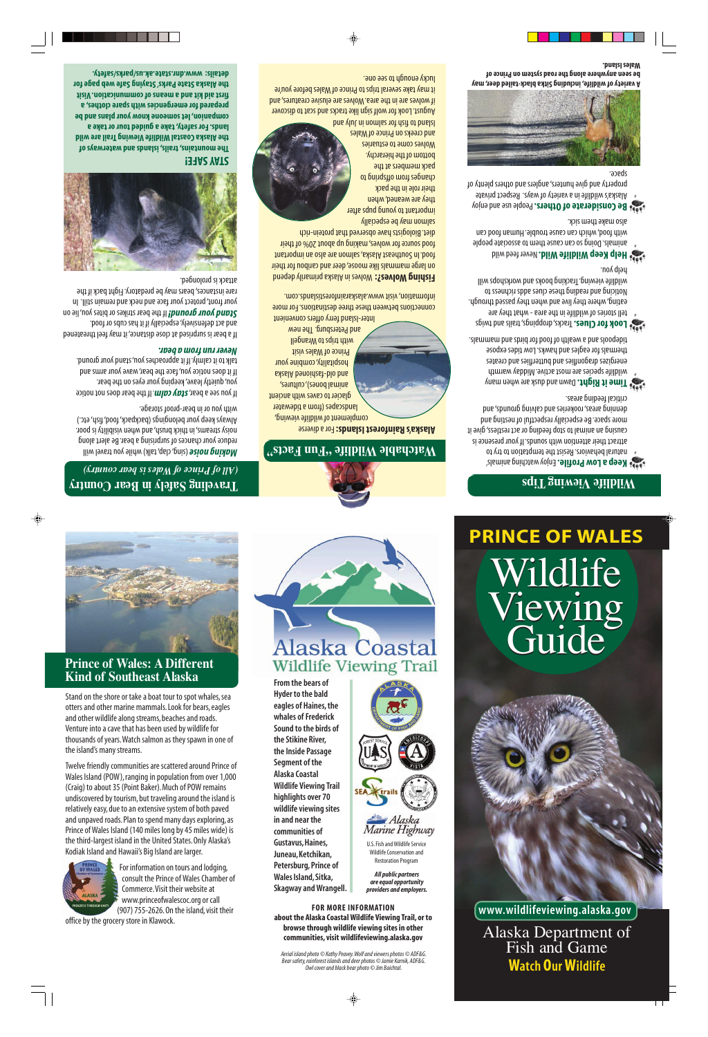

## **Prince of Wales: A Different Kind of Southeast Alaska**

Stand on the shore or take a boat tour to spot whales, sea otters and other marine mammals. Look for bears, eagles and other wildlife along streams, beaches and roads. Venture into a cave that has been used by wildlife for thousands of years.Watch salmon as they spawn in one of the island's many streams.

Twelve friendly communities are scattered around Prince of Wales Island (POW), ranging in population from over 1,000 (Craig) to about 35 (Point Baker). Much of POW remains undiscovered by tourism, but traveling around the island is relatively easy, due to an extensive system of both paved and unpaved roads. Plan to spend many days exploring, as Prince of Wales Island (140 miles long by 45 miles wide) is the third-largest island in the United States. Only Alaska's Kodiak Island and Hawaii's Big Island are larger.



For information on tours and lodging, consult the Prince of Wales Chamber of Commerce.Visit their website at www.princeofwalescoc.org or call (907) 755-2626. On the island, visit their

office by the grocery store in Klawock.



**From the bears of Hyder to the bald eagles of Haines, the whales of Frederick Sound to the birds of the Stikine River, the Inside Passage Segment of the Alaska Coastal Wildlife Viewing Trail highlights over 70 wildlife viewing sites in and near the communities of Gustavus, Haines, Juneau,Ketchikan, Petersburg, Prince of Wales Island, Sitka, Skagway and Wrangell.** 

**FOR MORE INFORMATION about the Alaska Coastal Wildlife Viewing Trail, or to browse through wildlife viewing sites in other communities, visit wildlifeviewing.alaska.gov** 

U.S. Fish and Wildlife Service Wildlife Conservation and Restoration Program *All public partners are equal opportunity providers and employers.* 

 $Alaska$ Marine Highway

*Aerial island photo © Kathy Peavey.Wolf and viewers photos © ADF&G. Bear safety, rainforest islands and deer photos © Jamie Karnik, ADF&G. Owl cover and black bear photo © Jim Baichtal.* 

## **PRINCE OF WALES**  Wildlife Wildlife Guide Viewing Viewing Guide



**www.wildlifeviewing.alaska.gov** 

Alaska Department of Fish and Game **Watch Our Wildlife**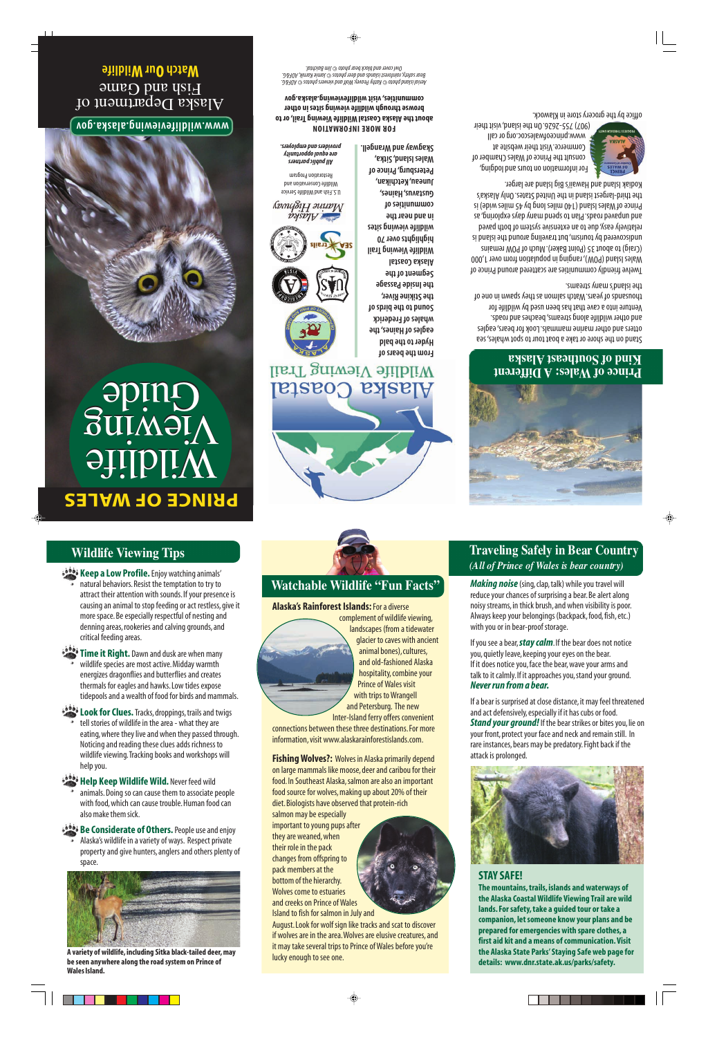## **Wildlife Viewing Tips**

**Keep a Low Profile.** Enjoy watching animals'

natural behaviors. Resist the temptation to try to attract their attention with sounds. If your presence is causing an animal to stop feeding or act restless, give it more space. Be especially respectful of nesting and denning areas, rookeries and calving grounds, and critical feeding areas.

**Time it Right.** Dawn and dusk are when many wildlife species are most active. Midday warmth energizes dragonflies and butterflies and creates thermals for eagles and hawks. Low tides expose tidepools and a wealth of food for birds and mammals.

**Look for Clues.** Tracks, droppings, trails and twigs

tell stories of wildlife in the area - what they are eating, where they live and when they passed through. Noticing and reading these clues adds richness to wildlife viewing.Tracking books and workshops will help you.

### **Help Keep Wildlife Wild.** Never feed wild

animals. Doing so can cause them to associate people with food, which can cause trouble. Human food can also make them sick.

**Be Considerate of Others.** People use and enjoy

Alaska's wildlife in a variety of ways. Respect private property and give hunters, anglers and others plenty of space.



**A variety of wildlife, including Sitka black-tailed deer, may be seen anywhere along the road system on Prince of Wales Island.** 



## **Watchable Wildlife "Fun Facts"**

#### **Alaska's Rainforest Islands:** For a diverse



 and Petersburg. The new complement of wildlife viewing, landscapes (from a tidewater glacier to caves with ancient animal bones), cultures, and old-fashioned Alaska hospitality, combine your Prince of Wales visit with trips to Wrangell

Inter-Island ferry offers convenient connections between these three destinations. For more information, visit www.alaskarainforestislands.com.

**Fishing Wolves?:** Wolves in Alaska primarily depend on large mammals like moose, deer and caribou for their food. In Southeast Alaska, salmon are also an important food source for wolves, making up about 20% of their diet. Biologists have observed that protein-rich

salmon may be especially important to young pups after they are weaned, when their role in the pack changes from offspring to pack members at the bottom of the hierarchy. Wolves come to estuaries and creeks on Prince of Wales Island to fish for salmon in July and



## *(All of Prince of Wales is bear country)*  **Traveling Safely in Bear Country**

*Making noise* (sing, clap, talk) while you travel will reduce your chances of surprising a bear. Be alert along noisy streams, in thick brush, and when visibility is poor. Always keep your belongings (backpack, food, fish, etc.) with you or in bear-proof storage.

If you see a bear, *stay calm*. If the bear does not notice you, quietly leave, keeping your eyes on the bear. If it does notice you, face the bear, wave your arms and talk to it calmly. If it approaches you, stand your ground. *Never run from a bear.* 

If a bear is surprised at close distance, it may feel threatened and act defensively, especially if it has cubs or food. *Stand your ground!* If the bear strikes or bites you, lie on your front, protect your face and neck and remain still. In rare instances, bears may be predatory. Fight back if the attack is prolonged.



## **STAY SAFE!**

**The mountains, trails, islands and waterways of the Alaska Coastal Wildlife Viewing Trail are wild lands. For safety, take a guided tour or take a companion, let someone know your plans and be prepared for emergencies with spare clothes, a first aid kit and a means of communication. Visit the Alaska State Parks' Staying Safe web page for details: www.dnr.state.ak.us/parks/safety.**